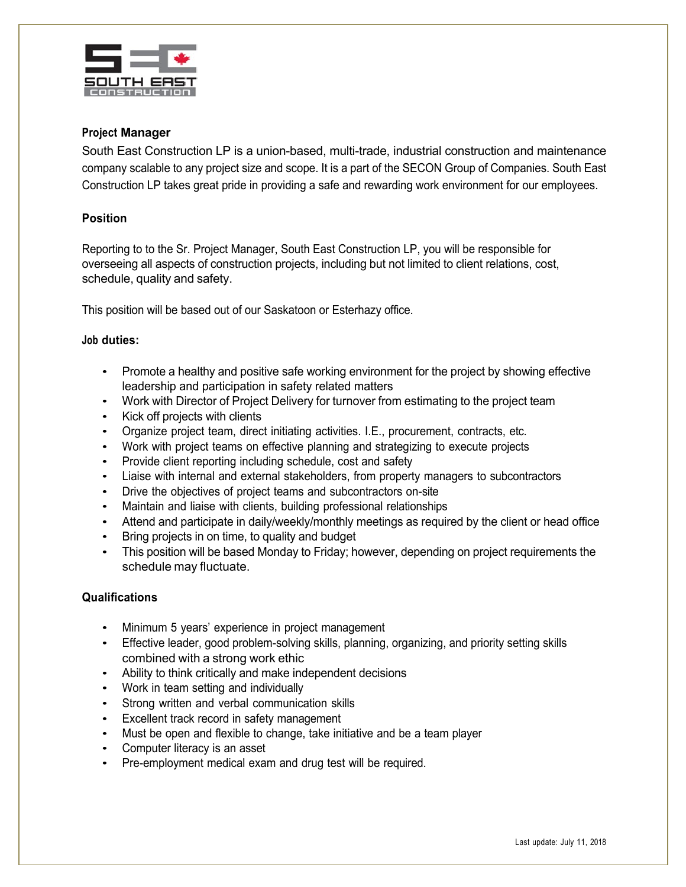

## **Project Manager**

South East Construction LP is a union-based, multi-trade, industrial construction and maintenance company scalable to any project size and scope. It is a part of the SECON Group of Companies. South East Construction LP takes great pride in providing a safe and rewarding work environment for our employees.

## **Position**

Reporting to to the Sr. Project Manager, South East Construction LP, you will be responsible for overseeing all aspects of construction projects, including but not limited to client relations, cost, schedule, quality and safety.

This position will be based out of our Saskatoon or Esterhazy office.

## **Job duties:**

- Promote a healthy and positive safe working environment for the project by showing effective leadership and participation in safety related matters
- Work with Director of Project Delivery for turnover from estimating to the project team
- Kick off projects with clients
- Organize project team, direct initiating activities. I.E., procurement, contracts, etc.
- Work with project teams on effective planning and strategizing to execute projects
- Provide client reporting including schedule, cost and safety
- Liaise with internal and external stakeholders, from property managers to subcontractors
- Drive the objectives of project teams and subcontractors on-site
- Maintain and liaise with clients, building professional relationships
- Attend and participate in daily/weekly/monthly meetings as required by the client or head office
- Bring projects in on time, to quality and budget
- This position will be based Monday to Friday; however, depending on project requirements the schedule may fluctuate.

#### **Qualifications**

- Minimum 5 years' experience in project management
- Effective leader, good problem-solving skills, planning, organizing, and priority setting skills combined with a strong work ethic
- Ability to think critically and make independent decisions
- Work in team setting and individually
- Strong written and verbal communication skills
- Excellent track record in safety management
- Must be open and flexible to change, take initiative and be a team player
- Computer literacy is an asset
- Pre-employment medical exam and drug test will be required.